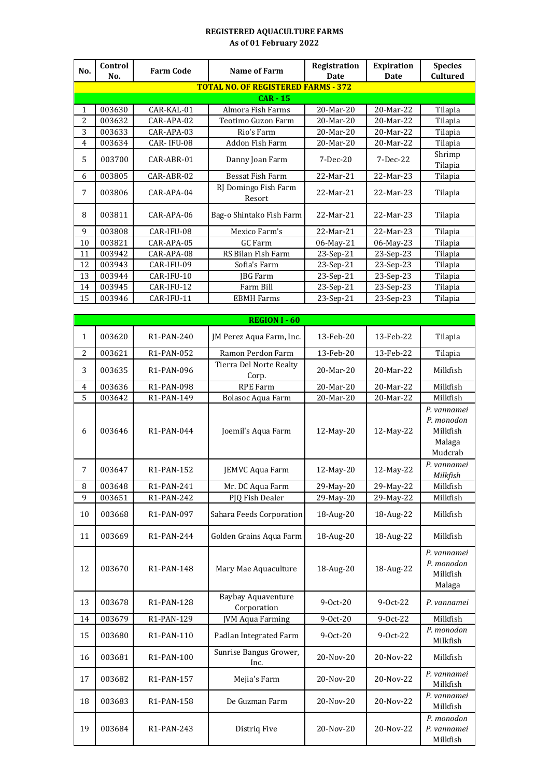## **REGISTERED AQUACULTURE FARMS As of 01 February 2022**

| No. | Control | <b>Farm Code</b> | <b>Name of Farm</b>                        | Registration | <b>Expiration</b> | <b>Species</b>     |
|-----|---------|------------------|--------------------------------------------|--------------|-------------------|--------------------|
|     | No.     |                  |                                            | <b>Date</b>  | Date              | <b>Cultured</b>    |
|     |         |                  | <b>TOTAL NO. OF REGISTERED FARMS - 372</b> |              |                   |                    |
|     |         |                  | $CAR - 15$                                 |              |                   |                    |
| 1   | 003630  | CAR-KAL-01       | Almora Fish Farms                          | 20-Mar-20    | 20-Mar-22         | Tilapia            |
| 2   | 003632  | CAR-APA-02       | Teotimo Guzon Farm                         | 20-Mar-20    | 20-Mar-22         | Tilapia            |
| 3   | 003633  | CAR-APA-03       | Rio's Farm                                 | 20-Mar-20    | 20-Mar-22         | Tilapia            |
| 4   | 003634  | CAR-IFU-08       | Addon Fish Farm                            | 20-Mar-20    | 20-Mar-22         | Tilapia            |
| 5   | 003700  | CAR-ABR-01       | Danny Joan Farm                            | $7-Dec-20$   | $7-Dec-22$        | Shrimp             |
| 6   | 003805  | CAR-ABR-02       | Bessat Fish Farm                           | 22-Mar-21    | 22-Mar-23         | Tilapia<br>Tilapia |
| 7   | 003806  | $CAR-APA-04$     | RJ Domingo Fish Farm<br>Resort             | 22-Mar-21    | 22-Mar-23         | Tilapia            |
| 8   | 003811  | CAR-APA-06       | Bag-o Shintako Fish Farm                   | 22-Mar-21    | 22-Mar-23         | Tilapia            |
| 9   | 003808  | CAR-IFU-08       | Mexico Farm's                              | 22-Mar-21    | 22-Mar-23         | Tilapia            |
| 10  | 003821  | CAR-APA-05       | GC Farm                                    | 06-May-21    | 06-May-23         | Tilapia            |
| 11  | 003942  | CAR-APA-08       | RS Bilan Fish Farm                         | 23-Sep-21    | 23-Sep-23         | Tilapia            |
| 12  | 003943  | CAR-IFU-09       | Sofia's Farm                               | 23-Sep-21    | 23-Sep-23         | Tilapia            |
| 13  | 003944  | CAR-IFU-10       | IBG Farm                                   | 23-Sep-21    | 23-Sep-23         | Tilapia            |
| 14  | 003945  | CAR-IFU-12       | Farm Bill                                  | 23-Sep-21    | 23-Sep-23         | Tilapia            |
| 15  | 003946  | CAR-IFU-11       | <b>EBMH Farms</b>                          | 23-Sep-21    | 23-Sep-23         | Tilapia            |

|                | <b>REGION I - 60</b> |                         |                                          |              |            |                                                            |  |  |  |
|----------------|----------------------|-------------------------|------------------------------------------|--------------|------------|------------------------------------------------------------|--|--|--|
| $\mathbf{1}$   | 003620               | R1-PAN-240              | JM Perez Aqua Farm, Inc.                 | 13-Feb-20    | 13-Feb-22  | Tilapia                                                    |  |  |  |
| $\overline{2}$ | 003621               | R1-PAN-052              | Ramon Perdon Farm                        | 13-Feb-20    | 13-Feb-22  | Tilapia                                                    |  |  |  |
| 3              | 003635               | R <sub>1</sub> -PAN-096 | Tierra Del Norte Realty<br>Corp.         | 20-Mar-20    | 20-Mar-22  | Milkfish                                                   |  |  |  |
| $\overline{4}$ | 003636               | R1-PAN-098              | RPE Farm                                 | 20-Mar-20    | 20-Mar-22  | Milkfish                                                   |  |  |  |
| 5              | 003642               | R1-PAN-149              | <b>Bolasoc Aqua Farm</b>                 | 20-Mar-20    | 20-Mar-22  | Milkfish                                                   |  |  |  |
| 6              | 003646               | R1-PAN-044              | Joemil's Aqua Farm                       | 12-May-20    | 12-May-22  | P. vannamei<br>P. monodon<br>Milkfish<br>Malaga<br>Mudcrab |  |  |  |
| 7              | 003647               | R <sub>1</sub> -PAN-152 | JEMVC Aqua Farm                          | 12-May-20    | 12-May-22  | P. vannamei<br>Milkfish                                    |  |  |  |
| 8              | 003648               | R1-PAN-241              | Mr. DC Aqua Farm                         | 29-May-20    | 29-May-22  | Milkfish                                                   |  |  |  |
| 9              | 003651               | R1-PAN-242              | PJQ Fish Dealer                          | $29$ -May-20 | 29-May-22  | Milkfish                                                   |  |  |  |
| 10             | 003668               | R <sub>1</sub> -PAN-097 | Sahara Feeds Corporation                 | 18-Aug-20    | 18-Aug-22  | Milkfish                                                   |  |  |  |
| 11             | 003669               | R <sub>1</sub> -PAN-244 | Golden Grains Aqua Farm                  | 18-Aug-20    | 18-Aug-22  | Milkfish                                                   |  |  |  |
| 12             | 003670               | R <sub>1</sub> -PAN-148 | Mary Mae Aquaculture                     | 18-Aug-20    | 18-Aug-22  | P. vannamei<br>P. monodon<br>Milkfish<br>Malaga            |  |  |  |
| 13             | 003678               | R1-PAN-128              | <b>Baybay Aquaventure</b><br>Corporation | $9-0ct-20$   | $9-0ct-22$ | P. vannamei                                                |  |  |  |
| 14             | 003679               | R1-PAN-129              | <b>JVM Aqua Farming</b>                  | $9-0ct-20$   | 9-0ct-22   | Milkfish                                                   |  |  |  |
| 15             | 003680               | R1-PAN-110              | Padlan Integrated Farm                   | 9-Oct-20     | 9-Oct-22   | P. monodon<br>Milkfish                                     |  |  |  |
| 16             | 003681               | R1-PAN-100              | Sunrise Bangus Grower,<br>Inc.           | 20-Nov-20    | 20-Nov-22  | Milkfish                                                   |  |  |  |
| 17             | 003682               | R1-PAN-157              | Mejia's Farm                             | 20-Nov-20    | 20-Nov-22  | P. vannamei<br>Milkfish                                    |  |  |  |
| 18             | 003683               | R1-PAN-158              | De Guzman Farm                           | 20-Nov-20    | 20-Nov-22  | P. vannamei<br>Milkfish                                    |  |  |  |
| 19             | 003684               | R <sub>1</sub> -PAN-243 | Distriq Five                             | 20-Nov-20    | 20-Nov-22  | P. monodon<br>P. vannamei<br>Milkfish                      |  |  |  |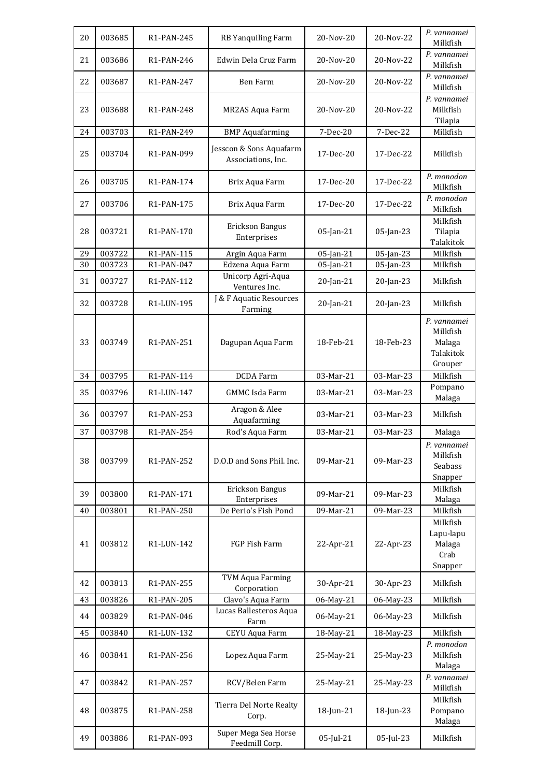| 20 | 003685 | R1-PAN-245              | RB Yanquiling Farm                            | 20-Nov-20 | 20-Nov-22 | P. vannamei<br>Milkfish                                   |
|----|--------|-------------------------|-----------------------------------------------|-----------|-----------|-----------------------------------------------------------|
| 21 | 003686 | R <sub>1</sub> -PAN-246 | Edwin Dela Cruz Farm                          | 20-Nov-20 | 20-Nov-22 | P. vannamei<br>Milkfish                                   |
| 22 | 003687 | R1-PAN-247              | Ben Farm                                      | 20-Nov-20 | 20-Nov-22 | P. vannamei<br>Milkfish                                   |
| 23 | 003688 | R <sub>1</sub> -PAN-248 | MR2AS Aqua Farm                               | 20-Nov-20 | 20-Nov-22 | P. vannamei<br>Milkfish<br>Tilapia                        |
| 24 | 003703 | R1-PAN-249              | <b>BMP</b> Aquafarming                        | 7-Dec-20  | 7-Dec-22  | Milkfish                                                  |
| 25 | 003704 | R1-PAN-099              | Jesscon & Sons Aquafarm<br>Associations, Inc. | 17-Dec-20 | 17-Dec-22 | Milkfish                                                  |
| 26 | 003705 | R <sub>1</sub> -PAN-174 | Brix Aqua Farm                                | 17-Dec-20 | 17-Dec-22 | P. monodon<br>Milkfish                                    |
| 27 | 003706 | R1-PAN-175              | Brix Aqua Farm                                | 17-Dec-20 | 17-Dec-22 | P. monodon<br>Milkfish                                    |
| 28 | 003721 | R1-PAN-170              | Erickson Bangus<br>Enterprises                | 05-Jan-21 | 05-Jan-23 | Milkfish<br>Tilapia<br>Talakitok                          |
| 29 | 003722 | R1-PAN-115              | Argin Aqua Farm                               | 05-Jan-21 | 05-Jan-23 | Milkfish                                                  |
| 30 | 003723 | R1-PAN-047              | Edzena Aqua Farm<br>Unicorp Agri-Aqua         | 05-Jan-21 | 05-Jan-23 | Milkfish                                                  |
| 31 | 003727 | R1-PAN-112              | Ventures Inc.                                 | 20-Jan-21 | 20-Jan-23 | Milkfish                                                  |
| 32 | 003728 | R1-LUN-195              | J & F Aquatic Resources<br>Farming            | 20-Jan-21 | 20-Jan-23 | Milkfish                                                  |
| 33 | 003749 | R1-PAN-251              | Dagupan Aqua Farm                             | 18-Feb-21 | 18-Feb-23 | P. vannamei<br>Milkfish<br>Malaga<br>Talakitok<br>Grouper |
| 34 | 003795 | R1-PAN-114              | <b>DCDA</b> Farm                              | 03-Mar-21 | 03-Mar-23 | Milkfish                                                  |
| 35 | 003796 | R1-LUN-147              | <b>GMMC</b> Isda Farm                         | 03-Mar-21 | 03-Mar-23 | Pompano<br>Malaga                                         |
| 36 | 003797 | R1-PAN-253              | Aragon & Alee<br>Aquafarming                  | 03-Mar-21 | 03-Mar-23 | Milkfish                                                  |
| 37 | 003798 | R1-PAN-254              | Rod's Aqua Farm                               | 03-Mar-21 | 03-Mar-23 | Malaga                                                    |
| 38 | 003799 | R1-PAN-252              | D.O.D and Sons Phil. Inc.                     | 09-Mar-21 | 09-Mar-23 | P. vannamei<br>Milkfish<br>Seabass<br>Snapper             |
| 39 | 003800 | R1-PAN-171              | Erickson Bangus<br>Enterprises                | 09-Mar-21 | 09-Mar-23 | Milkfish<br>Malaga                                        |
| 40 | 003801 | R1-PAN-250              | De Perio's Fish Pond                          | 09-Mar-21 | 09-Mar-23 | Milkfish                                                  |
| 41 | 003812 | R1-LUN-142              | FGP Fish Farm                                 | 22-Apr-21 | 22-Apr-23 | Milkfish<br>Lapu-lapu<br>Malaga<br>Crab<br>Snapper        |
| 42 | 003813 | R1-PAN-255              | <b>TVM Aqua Farming</b><br>Corporation        | 30-Apr-21 | 30-Apr-23 | Milkfish                                                  |
| 43 | 003826 | R1-PAN-205              | Clavo's Aqua Farm                             | 06-May-21 | 06-May-23 | Milkfish                                                  |
| 44 | 003829 | R1-PAN-046              | Lucas Ballesteros Aqua<br>Farm                | 06-May-21 | 06-May-23 | Milkfish                                                  |
| 45 | 003840 | R1-LUN-132              | CEYU Aqua Farm                                | 18-May-21 | 18-May-23 | Milkfish                                                  |
| 46 | 003841 | R1-PAN-256              | Lopez Aqua Farm                               | 25-May-21 | 25-May-23 | P. monodon<br>Milkfish<br>Malaga                          |
| 47 | 003842 | R1-PAN-257              | RCV/Belen Farm                                | 25-May-21 | 25-May-23 | P. vannamei<br>Milkfish                                   |
| 48 | 003875 | R1-PAN-258              | Tierra Del Norte Realty<br>Corp.              | 18-Jun-21 | 18-Jun-23 | Milkfish<br>Pompano<br>Malaga                             |
| 49 | 003886 | R1-PAN-093              | Super Mega Sea Horse<br>Feedmill Corp.        | 05-Jul-21 | 05-Jul-23 | Milkfish                                                  |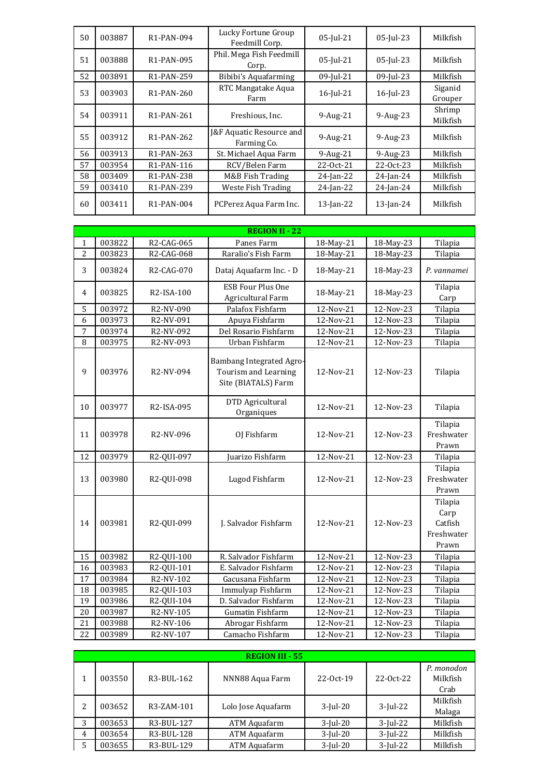| 50 | 003887 | R1-PAN-094              | Lucky Fortune Group<br>Feedmill Corp.              | 05-Jul-21    | 05-Jul-23    | Milkfish           |
|----|--------|-------------------------|----------------------------------------------------|--------------|--------------|--------------------|
| 51 | 003888 | R1-PAN-095              | Phil. Mega Fish Feedmill<br>Corp.                  | 05-Jul-21    | $05$ -Jul-23 | Milkfish           |
| 52 | 003891 | R <sub>1</sub> -PAN-259 | Bibibi's Aquafarming                               | 09-Jul-21    | 09-Jul-23    | Milkfish           |
| 53 | 003903 | R <sub>1</sub> -PAN-260 | RTC Mangatake Aqua<br>Farm                         | 16-Jul-21    | $16$ -Jul-23 | Siganid<br>Grouper |
| 54 | 003911 | R <sub>1</sub> -PAN-261 | Freshious, Inc.                                    | $9-Aug-21$   | 9-Aug-23     | Shrimp<br>Milkfish |
| 55 | 003912 | R <sub>1</sub> -PAN-262 | <b>[&amp;F Aquatic Resource and</b><br>Farming Co. | $9-Aug-21$   | 9-Aug-23     | Milkfish           |
| 56 | 003913 | R <sub>1</sub> -PAN-263 | St. Michael Aqua Farm                              | $9-Aug-21$   | $9-Aug-23$   | Milkfish           |
| 57 | 003954 | R1-PAN-116              | RCV/Belen Farm                                     | 22-Oct-21    | 22-Oct-23    | Milkfish           |
| 58 | 003409 | R1-PAN-238              | M&B Fish Trading                                   | $24$ -Jan-22 | 24-Jan-24    | Milkfish           |
| 59 | 003410 | R <sub>1</sub> -PAN-239 | Weste Fish Trading                                 | $24$ -Jan-22 | 24-Jan-24    | Milkfish           |
| 60 | 003411 | R <sub>1</sub> -PAN-004 | PCPerez Aqua Farm Inc.                             | $13$ -Jan-22 | $13$ -Jan-24 | Milkfish           |

|                | <b>REGION II - 22</b> |                         |                                                                                |           |           |                                                   |  |  |
|----------------|-----------------------|-------------------------|--------------------------------------------------------------------------------|-----------|-----------|---------------------------------------------------|--|--|
| 1              | 003822                | R2-CAG-065              | Panes Farm                                                                     | 18-May-21 | 18-May-23 | Tilapia                                           |  |  |
| 2              | 003823                | R2-CAG-068              | Raralio's Fish Farm                                                            | 18-May-21 | 18-May-23 | Tilapia                                           |  |  |
| 3              | 003824                | R2-CAG-070              | Dataj Aquafarm Inc. - D                                                        | 18-May-21 | 18-May-23 | P. vannamei                                       |  |  |
| $\overline{4}$ | 003825                | R2-ISA-100              | <b>ESB Four Plus One</b><br>Agricultural Farm                                  | 18-May-21 | 18-May-23 | Tilapia<br>Carp                                   |  |  |
| 5              | 003972                | R2-NV-090               | Palafox Fishfarm                                                               | 12-Nov-21 | 12-Nov-23 | Tilapia                                           |  |  |
| 6              | 003973                | R2-NV-091               | Apuya Fishfarm                                                                 | 12-Nov-21 | 12-Nov-23 | Tilapia                                           |  |  |
| 7              | 003974                | R2-NV-092               | Del Rosario Fishfarm                                                           | 12-Nov-21 | 12-Nov-23 | Tilapia                                           |  |  |
| 8              | 003975                | R2-NV-093               | Urban Fishfarm                                                                 | 12-Nov-21 | 12-Nov-23 | Tilapia                                           |  |  |
| 9              | 003976                | R2-NV-094               | <b>Bambang Integrated Agro-</b><br>Tourism and Learning<br>Site (BIATALS) Farm | 12-Nov-21 | 12-Nov-23 | Tilapia                                           |  |  |
| 10             | 003977                | R <sub>2</sub> -ISA-095 | DTD Agricultural<br>Organiques                                                 | 12-Nov-21 | 12-Nov-23 | Tilapia                                           |  |  |
| 11             | 003978                | R2-NV-096               | OJ Fishfarm                                                                    | 12-Nov-21 | 12-Nov-23 | Tilapia<br>Freshwater<br>Prawn                    |  |  |
| 12             | 003979                | R2-QUI-097              | Juarizo Fishfarm                                                               | 12-Nov-21 | 12-Nov-23 | Tilapia                                           |  |  |
| 13             | 003980                | R2-QUI-098              | Lugod Fishfarm                                                                 | 12-Nov-21 | 12-Nov-23 | Tilapia<br>Freshwater<br>Prawn                    |  |  |
| 14             | 003981                | R2-QUI-099              | J. Salvador Fishfarm                                                           | 12-Nov-21 | 12-Nov-23 | Tilapia<br>Carp<br>Catfish<br>Freshwater<br>Prawn |  |  |
| 15             | 003982                | R2-QUI-100              | R. Salvador Fishfarm                                                           | 12-Nov-21 | 12-Nov-23 | Tilapia                                           |  |  |
| 16             | 003983                | R2-QUI-101              | E. Salvador Fishfarm                                                           | 12-Nov-21 | 12-Nov-23 | Tilapia                                           |  |  |
| 17             | 003984                | R2-NV-102               | Gacusana Fishfarm                                                              | 12-Nov-21 | 12-Nov-23 | Tilapia                                           |  |  |
| 18             | 003985                | R2-QUI-103              | Immulyap Fishfarm                                                              | 12-Nov-21 | 12-Nov-23 | Tilapia                                           |  |  |
| 19             | 003986                | R2-QUI-104              | D. Salvador Fishfarm                                                           | 12-Nov-21 | 12-Nov-23 | Tilapia                                           |  |  |
| 20             | 003987                | R2-NV-105               | Gumatin Fishfarm                                                               | 12-Nov-21 | 12-Nov-23 | Tilapia                                           |  |  |
| 21             | 003988                | R2-NV-106               | Abrogar Fishfarm                                                               | 12-Nov-21 | 12-Nov-23 | Tilapia                                           |  |  |
| 22             | 003989                | R2-NV-107               | Camacho Fishfarm                                                               | 12-Nov-21 | 12-Nov-23 | Tilapia                                           |  |  |

|                |        |            | <b>REGION III - 55</b> |             |             |                                |
|----------------|--------|------------|------------------------|-------------|-------------|--------------------------------|
|                | 003550 | R3-BUL-162 | NNN88 Aqua Farm        | 22-Oct-19   | $22-0ct-22$ | P. monodon<br>Milkfish<br>Crab |
| 2              | 003652 | R3-ZAM-101 | Lolo Jose Aquafarm     | $3$ -Jul-20 | $3$ -Jul-22 | Milkfish<br>Malaga             |
| 3              | 003653 | R3-BUL-127 | ATM Aquafarm           | $3$ -Jul-20 | $3$ -Jul-22 | Milkfish                       |
| $\overline{4}$ | 003654 | R3-BUL-128 | ATM Aquafarm           | $3$ -Jul-20 | $3$ -Jul-22 | Milkfish                       |
| 5              | 003655 | R3-BUL-129 | ATM Aquafarm           | $3$ -Jul-20 | $3$ -Jul-22 | Milkfish                       |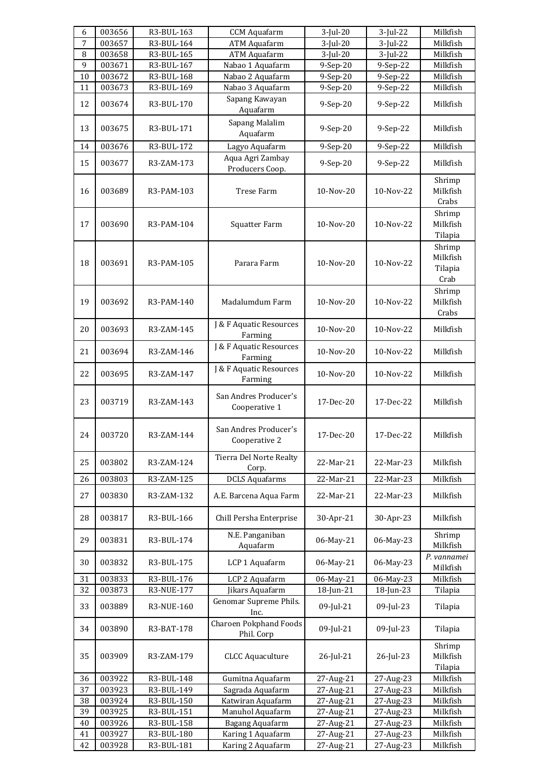| 6  | 003656 | R3-BUL-163 | <b>CCM</b> Aquafarm                         | $3$ -Jul-20 | $3$ -Jul-22 | Milkfish                              |
|----|--------|------------|---------------------------------------------|-------------|-------------|---------------------------------------|
| 7  | 003657 | R3-BUL-164 | <b>ATM Aquafarm</b>                         | $3$ -Jul-20 | $3$ -Jul-22 | Milkfish                              |
| 8  | 003658 | R3-BUL-165 | <b>ATM Aquafarm</b>                         | $3$ -Jul-20 | $3$ -Jul-22 | Milkfish                              |
| 9  | 003671 | R3-BUL-167 | Nabao 1 Aquafarm                            | 9-Sep-20    | 9-Sep-22    | Milkfish                              |
| 10 | 003672 | R3-BUL-168 | Nabao 2 Aquafarm                            | 9-Sep-20    | 9-Sep-22    | Milkfish                              |
| 11 | 003673 | R3-BUL-169 | Nabao 3 Aquafarm                            | 9-Sep-20    | 9-Sep-22    | Milkfish                              |
| 12 | 003674 | R3-BUL-170 | Sapang Kawayan<br>Aquafarm                  | $9-Sep-20$  | 9-Sep-22    | Milkfish                              |
| 13 | 003675 | R3-BUL-171 | Sapang Malalim<br>Aquafarm                  | $9-Sep-20$  | 9-Sep-22    | Milkfish                              |
| 14 | 003676 | R3-BUL-172 | Lagyo Aquafarm                              | 9-Sep-20    | 9-Sep-22    | Milkfish                              |
| 15 | 003677 | R3-ZAM-173 | Aqua Agri Zambay<br>Producers Coop.         | 9-Sep-20    | 9-Sep-22    | Milkfish                              |
| 16 | 003689 | R3-PAM-103 | Trese Farm                                  | 10-Nov-20   | 10-Nov-22   | Shrimp<br>Milkfish<br>Crabs           |
| 17 | 003690 | R3-PAM-104 | Squatter Farm                               | 10-Nov-20   | $10-Nov-22$ | Shrimp<br>Milkfish<br>Tilapia         |
| 18 | 003691 | R3-PAM-105 | Parara Farm                                 | 10-Nov-20   | 10-Nov-22   | Shrimp<br>Milkfish<br>Tilapia<br>Crab |
| 19 | 003692 | R3-PAM-140 | Madalumdum Farm                             | 10-Nov-20   | 10-Nov-22   | Shrimp<br>Milkfish<br>Crabs           |
| 20 | 003693 | R3-ZAM-145 | J & F Aquatic Resources<br>Farming          | 10-Nov-20   | 10-Nov-22   | Milkfish                              |
| 21 | 003694 | R3-ZAM-146 | J & F Aquatic Resources<br>Farming          | 10-Nov-20   | 10-Nov-22   | Milkfish                              |
| 22 | 003695 | R3-ZAM-147 | J & F Aquatic Resources<br>Farming          | 10-Nov-20   | 10-Nov-22   | Milkfish                              |
| 23 | 003719 | R3-ZAM-143 | San Andres Producer's<br>Cooperative 1      | 17-Dec-20   | 17-Dec-22   | Milkfish                              |
| 24 | 003720 | R3-ZAM-144 | San Andres Producer's<br>Cooperative 2      | 17-Dec-20   | 17-Dec-22   | Milkfish                              |
| 25 | 003802 | R3-ZAM-124 | Tierra Del Norte Realty<br>Corp.            | 22-Mar-21   | 22-Mar-23   | Milkfish                              |
| 26 | 003803 | R3-ZAM-125 | <b>DCLS Aquafarms</b>                       | 22-Mar-21   | 22-Mar-23   | Milkfish                              |
| 27 | 003830 | R3-ZAM-132 | A.E. Barcena Aqua Farm                      | 22-Mar-21   | 22-Mar-23   | Milkfish                              |
| 28 | 003817 | R3-BUL-166 | Chill Persha Enterprise                     | 30-Apr-21   | 30-Apr-23   | Milkfish                              |
| 29 | 003831 | R3-BUL-174 | N.E. Panganiban<br>Aquafarm                 | 06-May-21   | 06-May-23   | Shrimp<br>Milkfish                    |
| 30 | 003832 | R3-BUL-175 | LCP 1 Aquafarm                              | 06-May-21   | 06-May-23   | P. vannamei<br>Milkfish               |
| 31 | 003833 | R3-BUL-176 | LCP 2 Aquafarm                              | 06-May-21   | 06-May-23   | Milkfish                              |
| 32 | 003873 | R3-NUE-177 | Jikars Aquafarm                             | 18-Jun-21   | 18-Jun-23   | Tilapia                               |
| 33 | 003889 | R3-NUE-160 | Genomar Supreme Phils.<br>Inc.              | 09-Jul-21   | 09-Jul-23   | Tilapia                               |
| 34 | 003890 | R3-BAT-178 | <b>Charoen Pokphand Foods</b><br>Phil. Corp | 09-Jul-21   | 09-Jul-23   | Tilapia                               |
| 35 | 003909 | R3-ZAM-179 | <b>CLCC Aquaculture</b>                     | 26-Jul-21   | 26-Jul-23   | Shrimp<br>Milkfish<br>Tilapia         |
| 36 | 003922 | R3-BUL-148 | Gumitna Aquafarm                            | 27-Aug-21   | 27-Aug-23   | Milkfish                              |
| 37 | 003923 | R3-BUL-149 | Sagrada Aquafarm                            | 27-Aug-21   | 27-Aug-23   | Milkfish                              |
| 38 | 003924 | R3-BUL-150 | Katwiran Aquafarm                           | 27-Aug-21   | 27-Aug-23   | Milkfish                              |
| 39 | 003925 | R3-BUL-151 | Manuhol Aquafarm                            | 27-Aug-21   | 27-Aug-23   | Milkfish                              |
| 40 | 003926 | R3-BUL-158 | Bagang Aquafarm                             | 27-Aug-21   | 27-Aug-23   | Milkfish                              |
| 41 | 003927 | R3-BUL-180 | Karing 1 Aquafarm                           | 27-Aug-21   | 27-Aug-23   | Milkfish                              |
| 42 | 003928 | R3-BUL-181 | Karing 2 Aquafarm                           | 27-Aug-21   | 27-Aug-23   | Milkfish                              |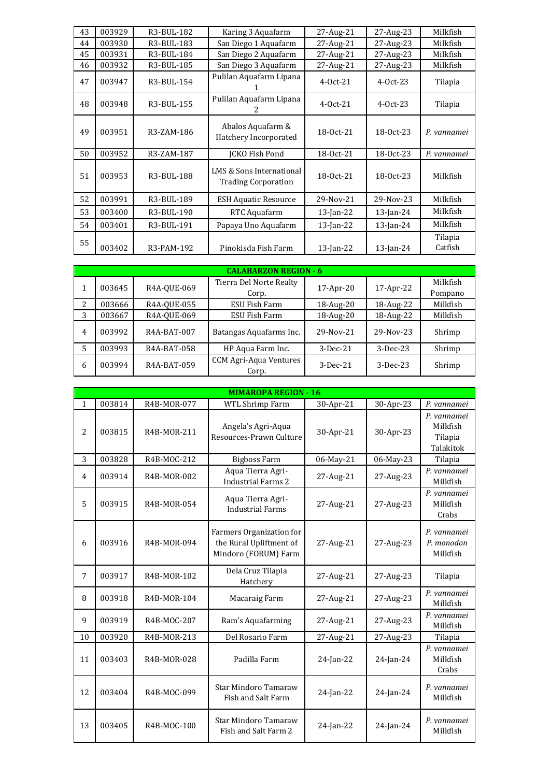| 43 | 003929 | R3-BUL-182 | Karing 3 Aquafarm                                      | 27-Aug-21    | 27-Aug-23    | Milkfish           |
|----|--------|------------|--------------------------------------------------------|--------------|--------------|--------------------|
| 44 | 003930 | R3-BUL-183 | San Diego 1 Aquafarm                                   | 27-Aug-21    | 27-Aug-23    | Milkfish           |
| 45 | 003931 | R3-BUL-184 | San Diego 2 Aquafarm                                   | 27-Aug-21    | 27-Aug-23    | Milkfish           |
| 46 | 003932 | R3-BUL-185 | San Diego 3 Aquafarm                                   | 27-Aug-21    | 27-Aug-23    | Milkfish           |
| 47 | 003947 | R3-BUL-154 | Pulilan Aquafarm Lipana                                | $4-0ct-21$   | $4-0ct-23$   | Tilapia            |
| 48 | 003948 | R3-BUL-155 | Pulilan Aquafarm Lipana                                | $4-0ct-21$   | $4-0ct-23$   | Tilapia            |
| 49 | 003951 | R3-ZAM-186 | Abalos Aquafarm &<br>Hatchery Incorporated             | 18-0ct-21    | 18-0ct-23    | P. vannamei        |
| 50 | 003952 | R3-ZAM-187 | <b>ICKO Fish Pond</b>                                  | 18-0ct-21    | 18-0ct-23    | P. vannamei        |
| 51 | 003953 | R3-BUL-188 | LMS & Sons International<br><b>Trading Corporation</b> | 18-0ct-21    | 18-0ct-23    | Milkfish           |
| 52 | 003991 | R3-BUL-189 | <b>ESH Aquatic Resource</b>                            | 29-Nov-21    | 29-Nov-23    | Milkfish           |
| 53 | 003400 | R3-BUL-190 | RTC Aquafarm                                           | 13-Jan-22    | $13$ -Jan-24 | Milkfish           |
| 54 | 003401 | R3-BUL-191 | Papaya Uno Aquafarm                                    | $13$ -Jan-22 | $13$ -Jan-24 | Milkfish           |
| 55 | 003402 | R3-PAM-192 | Pinokisda Fish Farm                                    | 13-Jan-22    | $13$ -Jan-24 | Tilapia<br>Catfish |

|   |        |             | <b>CALABARZON REGION - 6</b>           |              |            |          |
|---|--------|-------------|----------------------------------------|--------------|------------|----------|
|   | 003645 | R4A-OUE-069 | Tierra Del Norte Realty                | $17$ -Apr-20 | 17-Apr-22  | Milkfish |
|   |        |             | Corp.                                  |              |            | Pompano  |
| 2 | 003666 | R4A-OUE-055 | ESU Fish Farm                          | 18-Aug-20    | 18-Aug-22  | Milkfish |
| 3 | 003667 | R4A-QUE-069 | ESU Fish Farm                          | 18-Aug-20    | 18-Aug-22  | Milkfish |
| 4 | 003992 | R4A-BAT-007 | Batangas Aquafarms Inc.                | 29-Nov-21    | 29-Nov-23  | Shrimp   |
| 5 | 003993 | R4A-BAT-058 | HP Aqua Farm Inc.                      | $3-Dec-21$   | $3-Dec-23$ | Shrimp   |
| 6 | 003994 | R4A-BAT-059 | <b>CCM Agri-Aqua Ventures</b><br>Corp. | $3-Dec-21$   | $3-Dec-23$ | Shrimp   |

|                |        |             | <b>MIMAROPA REGION - 16</b>                                                 |              |           |                                                 |
|----------------|--------|-------------|-----------------------------------------------------------------------------|--------------|-----------|-------------------------------------------------|
| $\mathbf{1}$   | 003814 | R4B-MOR-077 | <b>WTL Shrimp Farm</b>                                                      | 30-Apr-21    | 30-Apr-23 | P. vannamei                                     |
| 2              | 003815 | R4B-MOR-211 | Angela's Agri-Aqua<br>Resources-Prawn Culture                               | 30-Apr-21    | 30-Apr-23 | P. vannamei<br>Milkfish<br>Tilapia<br>Talakitok |
| 3              | 003828 | R4B-MOC-212 | <b>Bigboss Farm</b>                                                         | 06-May-21    | 06-May-23 | Tilapia                                         |
| $\overline{4}$ | 003914 | R4B-MOR-002 | Aqua Tierra Agri-<br><b>Industrial Farms 2</b>                              | 27-Aug-21    | 27-Aug-23 | P. vannamei<br>Milkfish                         |
| 5              | 003915 | R4B-MOR-054 | Aqua Tierra Agri-<br><b>Industrial Farms</b>                                | 27-Aug-21    | 27-Aug-23 | P. vannamei<br>Milkfish<br>Crabs                |
| 6              | 003916 | R4B-MOR-094 | Farmers Organization for<br>the Rural Upliftment of<br>Mindoro (FORUM) Farm | 27-Aug-21    | 27-Aug-23 | P. vannamei<br>P. monodon<br>Milkfish           |
| $\overline{7}$ | 003917 | R4B-MOR-102 | Dela Cruz Tilapia<br>Hatchery                                               | 27-Aug-21    | 27-Aug-23 | Tilapia                                         |
| 8              | 003918 | R4B-MOR-104 | Macaraig Farm                                                               | 27-Aug-21    | 27-Aug-23 | P. vannamei<br>Milkfish                         |
| 9              | 003919 | R4B-MOC-207 | Ram's Aquafarming                                                           | 27-Aug-21    | 27-Aug-23 | P. vannamei<br>Milkfish                         |
| 10             | 003920 | R4B-MOR-213 | Del Rosario Farm                                                            | 27-Aug-21    | 27-Aug-23 | Tilapia                                         |
| 11             | 003403 | R4B-MOR-028 | Padilla Farm                                                                | $24$ -Jan-22 | 24-Jan-24 | P. vannamei<br>Milkfish<br>Crabs                |
| 12             | 003404 | R4B-MOC-099 | <b>Star Mindoro Tamaraw</b><br>Fish and Salt Farm                           | $24$ -Jan-22 | 24-Jan-24 | P. vannamei<br>Milkfish                         |
| 13             | 003405 | R4B-MOC-100 | <b>Star Mindoro Tamaraw</b><br>Fish and Salt Farm 2                         | $24$ -Jan-22 | 24-Jan-24 | P. vannamei<br>Milkfish                         |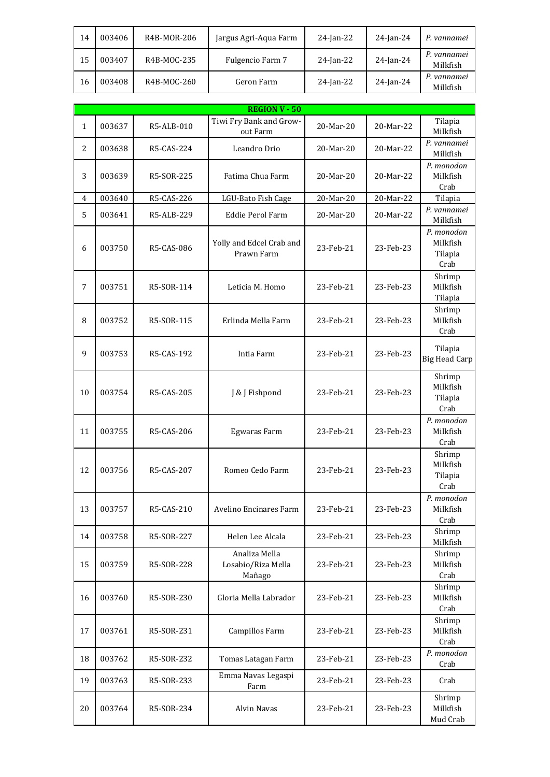| 14 | 003406 | R4B-MOR-206 | Jargus Agri-Aqua Farm | $24$ -Jan-22 | $24$ -Jan-24 | P. vannamei             |
|----|--------|-------------|-----------------------|--------------|--------------|-------------------------|
| 15 | 003407 | R4B-MOC-235 | Fulgencio Farm 7      | $24$ -Jan-22 | 24-Jan-24    | P. vannamei<br>Milkfish |
| 16 | 003408 | R4B-MOC-260 | Geron Farm            | $24$ -Jan-22 | 24-Jan-24    | P. vannamei<br>Milkfish |

| <b>REGION V - 50</b> |        |            |                                               |           |           |                                           |  |  |
|----------------------|--------|------------|-----------------------------------------------|-----------|-----------|-------------------------------------------|--|--|
| $\mathbf{1}$         | 003637 | R5-ALB-010 | Tiwi Fry Bank and Grow-<br>out Farm           | 20-Mar-20 | 20-Mar-22 | Tilapia<br>Milkfish                       |  |  |
| $\overline{c}$       | 003638 | R5-CAS-224 | Leandro Drio                                  | 20-Mar-20 | 20-Mar-22 | P. vannamei<br>Milkfish                   |  |  |
| 3                    | 003639 | R5-SOR-225 | Fatima Chua Farm                              | 20-Mar-20 | 20-Mar-22 | P. monodon<br>Milkfish<br>Crab            |  |  |
| $\overline{4}$       | 003640 | R5-CAS-226 | LGU-Bato Fish Cage                            | 20-Mar-20 | 20-Mar-22 | Tilapia                                   |  |  |
| 5                    | 003641 | R5-ALB-229 | <b>Eddie Perol Farm</b>                       | 20-Mar-20 | 20-Mar-22 | P. vannamei<br>Milkfish                   |  |  |
| 6                    | 003750 | R5-CAS-086 | Yolly and Edcel Crab and<br>Prawn Farm        | 23-Feb-21 | 23-Feb-23 | P. monodon<br>Milkfish<br>Tilapia<br>Crab |  |  |
| 7                    | 003751 | R5-SOR-114 | Leticia M. Homo                               | 23-Feb-21 | 23-Feb-23 | Shrimp<br>Milkfish<br>Tilapia             |  |  |
| 8                    | 003752 | R5-SOR-115 | Erlinda Mella Farm                            | 23-Feb-21 | 23-Feb-23 | Shrimp<br>Milkfish<br>Crab                |  |  |
| 9                    | 003753 | R5-CAS-192 | Intia Farm                                    | 23-Feb-21 | 23-Feb-23 | Tilapia<br><b>Big Head Carp</b>           |  |  |
| 10                   | 003754 | R5-CAS-205 | J & J Fishpond                                | 23-Feb-21 | 23-Feb-23 | Shrimp<br>Milkfish<br>Tilapia<br>Crab     |  |  |
| 11                   | 003755 | R5-CAS-206 | Egwaras Farm                                  | 23-Feb-21 | 23-Feb-23 | P. monodon<br>Milkfish<br>Crab            |  |  |
| 12                   | 003756 | R5-CAS-207 | Romeo Cedo Farm                               | 23-Feb-21 | 23-Feb-23 | Shrimp<br>Milkfish<br>Tilapia<br>Crab     |  |  |
| 13                   | 003757 | R5-CAS-210 | Avelino Encinares Farm                        | 23-Feb-21 | 23-Feb-23 | P. monodon<br>Milkfish<br>Crab            |  |  |
| 14                   | 003758 | R5-SOR-227 | Helen Lee Alcala                              | 23-Feb-21 | 23-Feb-23 | Shrimp<br>Milkfish                        |  |  |
| 15                   | 003759 | R5-SOR-228 | Analiza Mella<br>Losabio/Riza Mella<br>Mañago | 23-Feb-21 | 23-Feb-23 | Shrimp<br>Milkfish<br>Crab                |  |  |
| 16                   | 003760 | R5-SOR-230 | Gloria Mella Labrador                         | 23-Feb-21 | 23-Feb-23 | Shrimp<br>Milkfish<br>Crab                |  |  |
| 17                   | 003761 | R5-SOR-231 | Campillos Farm                                | 23-Feb-21 | 23-Feb-23 | Shrimp<br>Milkfish<br>Crab                |  |  |
| 18                   | 003762 | R5-SOR-232 | Tomas Latagan Farm                            | 23-Feb-21 | 23-Feb-23 | P. monodon<br>Crab                        |  |  |
| 19                   | 003763 | R5-SOR-233 | Emma Navas Legaspi<br>Farm                    | 23-Feb-21 | 23-Feb-23 | Crab                                      |  |  |
| 20                   | 003764 | R5-SOR-234 | Alvin Navas                                   | 23-Feb-21 | 23-Feb-23 | Shrimp<br>Milkfish<br>Mud Crab            |  |  |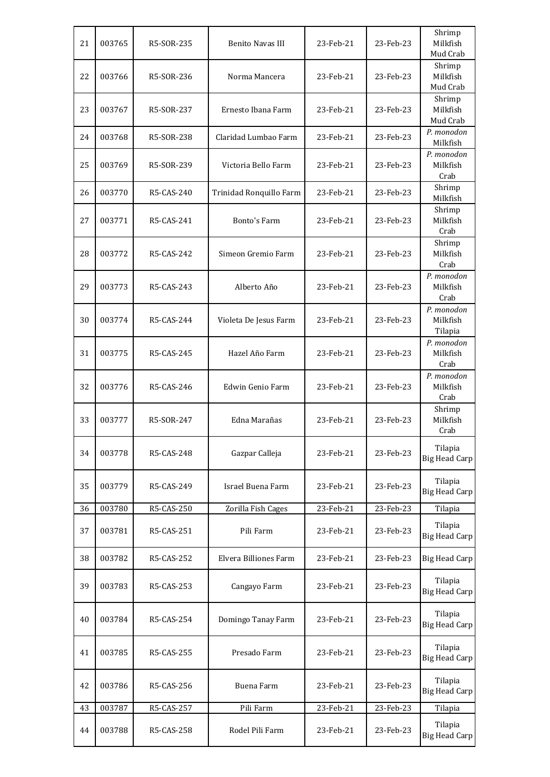| 21 | 003765 | R5-SOR-235 | <b>Benito Navas III</b> | 23-Feb-21 | 23-Feb-23 | Shrimp<br>Milkfish<br>Mud Crab    |
|----|--------|------------|-------------------------|-----------|-----------|-----------------------------------|
| 22 | 003766 | R5-SOR-236 | Norma Mancera           | 23-Feb-21 | 23-Feb-23 | Shrimp<br>Milkfish<br>Mud Crab    |
| 23 | 003767 | R5-SOR-237 | Ernesto Ibana Farm      | 23-Feb-21 | 23-Feb-23 | Shrimp<br>Milkfish<br>Mud Crab    |
| 24 | 003768 | R5-SOR-238 | Claridad Lumbao Farm    | 23-Feb-21 | 23-Feb-23 | P. monodon<br>Milkfish            |
| 25 | 003769 | R5-SOR-239 | Victoria Bello Farm     | 23-Feb-21 | 23-Feb-23 | P. monodon<br>Milkfish<br>Crab    |
| 26 | 003770 | R5-CAS-240 | Trinidad Ronquillo Farm | 23-Feb-21 | 23-Feb-23 | Shrimp<br>Milkfish                |
| 27 | 003771 | R5-CAS-241 | Bonto's Farm            | 23-Feb-21 | 23-Feb-23 | Shrimp<br>Milkfish<br>Crab        |
| 28 | 003772 | R5-CAS-242 | Simeon Gremio Farm      | 23-Feb-21 | 23-Feb-23 | Shrimp<br>Milkfish<br>Crab        |
| 29 | 003773 | R5-CAS-243 | Alberto Año             | 23-Feb-21 | 23-Feb-23 | P. monodon<br>Milkfish<br>Crab    |
| 30 | 003774 | R5-CAS-244 | Violeta De Jesus Farm   | 23-Feb-21 | 23-Feb-23 | P. monodon<br>Milkfish<br>Tilapia |
| 31 | 003775 | R5-CAS-245 | Hazel Año Farm          | 23-Feb-21 | 23-Feb-23 | P. monodon<br>Milkfish<br>Crab    |
| 32 | 003776 | R5-CAS-246 | Edwin Genio Farm        | 23-Feb-21 | 23-Feb-23 | P. monodon<br>Milkfish<br>Crab    |
| 33 | 003777 | R5-SOR-247 | Edna Marañas            | 23-Feb-21 | 23-Feb-23 | Shrimp<br>Milkfish<br>Crab        |
| 34 | 003778 | R5-CAS-248 | Gazpar Calleja          | 23-Feb-21 | 23-Feb-23 | Tilapia<br><b>Big Head Carp</b>   |
| 35 | 003779 | R5-CAS-249 | Israel Buena Farm       | 23-Feb-21 | 23-Feb-23 | Tilapia<br><b>Big Head Carp</b>   |
| 36 | 003780 | R5-CAS-250 | Zorilla Fish Cages      | 23-Feb-21 | 23-Feb-23 | Tilapia                           |
| 37 | 003781 | R5-CAS-251 | Pili Farm               | 23-Feb-21 | 23-Feb-23 | Tilapia<br><b>Big Head Carp</b>   |
| 38 | 003782 | R5-CAS-252 | Elvera Billiones Farm   | 23-Feb-21 | 23-Feb-23 | <b>Big Head Carp</b>              |
| 39 | 003783 | R5-CAS-253 | Cangayo Farm            | 23-Feb-21 | 23-Feb-23 | Tilapia<br><b>Big Head Carp</b>   |
| 40 | 003784 | R5-CAS-254 | Domingo Tanay Farm      | 23-Feb-21 | 23-Feb-23 | Tilapia<br><b>Big Head Carp</b>   |
| 41 | 003785 | R5-CAS-255 | Presado Farm            | 23-Feb-21 | 23-Feb-23 | Tilapia<br><b>Big Head Carp</b>   |
| 42 | 003786 | R5-CAS-256 | Buena Farm              | 23-Feb-21 | 23-Feb-23 | Tilapia<br><b>Big Head Carp</b>   |
| 43 | 003787 | R5-CAS-257 | Pili Farm               | 23-Feb-21 | 23-Feb-23 | Tilapia                           |
| 44 | 003788 | R5-CAS-258 | Rodel Pili Farm         | 23-Feb-21 | 23-Feb-23 | Tilapia<br><b>Big Head Carp</b>   |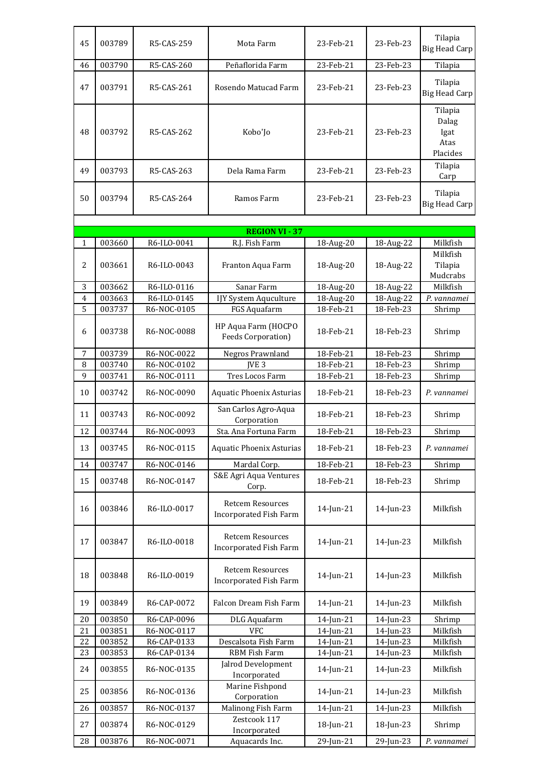| 45             | 003789                | R5-CAS-259  | Mota Farm                                                | 23-Feb-21 | 23-Feb-23    | Tilapia<br><b>Big Head Carp</b>              |  |  |  |  |
|----------------|-----------------------|-------------|----------------------------------------------------------|-----------|--------------|----------------------------------------------|--|--|--|--|
| 46             | 003790                | R5-CAS-260  | Peñaflorida Farm                                         | 23-Feb-21 | 23-Feb-23    | Tilapia                                      |  |  |  |  |
| 47             | 003791                | R5-CAS-261  | Rosendo Matucad Farm                                     | 23-Feb-21 | 23-Feb-23    | Tilapia<br><b>Big Head Carp</b>              |  |  |  |  |
| 48             | 003792                | R5-CAS-262  | Kobo'Jo                                                  | 23-Feb-21 | 23-Feb-23    | Tilapia<br>Dalag<br>Igat<br>Atas<br>Placides |  |  |  |  |
| 49             | 003793                | R5-CAS-263  | Dela Rama Farm                                           | 23-Feb-21 | 23-Feb-23    | Tilapia<br>Carp                              |  |  |  |  |
| 50             | 003794                | R5-CAS-264  | Ramos Farm                                               | 23-Feb-21 | 23-Feb-23    | Tilapia<br><b>Big Head Carp</b>              |  |  |  |  |
|                | <b>REGION VI - 37</b> |             |                                                          |           |              |                                              |  |  |  |  |
| $\mathbf{1}$   | 003660                | R6-ILO-0041 | R.J. Fish Farm                                           | 18-Aug-20 | 18-Aug-22    | Milkfish                                     |  |  |  |  |
| 2              | 003661                | R6-ILO-0043 | Franton Aqua Farm                                        | 18-Aug-20 | 18-Aug-22    | Milkfish<br>Tilapia<br>Mudcrabs              |  |  |  |  |
| 3              | 003662                | R6-ILO-0116 | Sanar Farm                                               | 18-Aug-20 | 18-Aug-22    | Milkfish                                     |  |  |  |  |
| $\overline{4}$ | 003663                | R6-ILO-0145 | IJY System Aquculture                                    | 18-Aug-20 | 18-Aug-22    | P. vannamei                                  |  |  |  |  |
| 5              | 003737                | R6-NOC-0105 | FGS Aquafarm                                             | 18-Feb-21 | 18-Feb-23    | Shrimp                                       |  |  |  |  |
| 6              | 003738                | R6-NOC-0088 | HP Aqua Farm (HOCPO<br><b>Feeds Corporation)</b>         | 18-Feb-21 | 18-Feb-23    | Shrimp                                       |  |  |  |  |
| 7              | 003739                | R6-NOC-0022 | Negros Prawnland                                         | 18-Feb-21 | 18-Feb-23    | Shrimp                                       |  |  |  |  |
| 8              | 003740                | R6-NOC-0102 | <b>IVE 3</b>                                             | 18-Feb-21 | 18-Feb-23    | Shrimp                                       |  |  |  |  |
| 9              | 003741                | R6-NOC-0111 | Tres Locos Farm                                          | 18-Feb-21 | 18-Feb-23    | Shrimp                                       |  |  |  |  |
| 10             | 003742                | R6-NOC-0090 | <b>Aquatic Phoenix Asturias</b>                          | 18-Feb-21 | 18-Feb-23    | P. vannamei                                  |  |  |  |  |
| 11             | 003743                | R6-NOC-0092 | San Carlos Agro-Aqua<br>Corporation                      | 18-Feb-21 | 18-Feb-23    | Shrimp                                       |  |  |  |  |
| 12             | 003744                | R6-NOC-0093 | Sta. Ana Fortuna Farm                                    | 18-Feb-21 | 18-Feb-23    | Shrimp                                       |  |  |  |  |
| 13             | 003745                | R6-NOC-0115 | Aquatic Phoenix Asturias                                 | 18-Feb-21 | 18-Feb-23    | P. vannamei                                  |  |  |  |  |
| 14             | 003747                | R6-NOC-0146 | Mardal Corp.                                             | 18-Feb-21 | $18$ -Feb-23 | Shrimp                                       |  |  |  |  |
| 15             | 003748                | R6-NOC-0147 | S&E Agri Aqua Ventures<br>Corp.                          | 18-Feb-21 | 18-Feb-23    | Shrimp                                       |  |  |  |  |
| 16             | 003846                | R6-ILO-0017 | <b>Retcem Resources</b><br><b>Incorporated Fish Farm</b> | 14-Jun-21 | 14-Jun-23    | Milkfish                                     |  |  |  |  |
| 17             | 003847                | R6-ILO-0018 | <b>Retcem Resources</b><br><b>Incorporated Fish Farm</b> | 14-Jun-21 | 14-Jun-23    | Milkfish                                     |  |  |  |  |
| 18             | 003848                | R6-ILO-0019 | <b>Retcem Resources</b><br><b>Incorporated Fish Farm</b> | 14-Jun-21 | 14-Jun-23    | Milkfish                                     |  |  |  |  |
| 19             | 003849                | R6-CAP-0072 | Falcon Dream Fish Farm                                   | 14-Jun-21 | 14-Jun-23    | Milkfish                                     |  |  |  |  |
| 20             | 003850                | R6-CAP-0096 | DLG Aquafarm                                             | 14-Jun-21 | 14-Jun-23    | Shrimp                                       |  |  |  |  |
| 21             | 003851                | R6-NOC-0117 | <b>VFC</b>                                               | 14-Jun-21 | 14-Jun-23    | Milkfish                                     |  |  |  |  |
| 22             | 003852                | R6-CAP-0133 | Descalsota Fish Farm                                     | 14-Jun-21 | 14-Jun-23    | Milkfish                                     |  |  |  |  |
| 23             | 003853                | R6-CAP-0134 | RBM Fish Farm                                            | 14-Jun-21 | 14-Jun-23    | Milkfish                                     |  |  |  |  |
| 24             | 003855                | R6-NOC-0135 | Jalrod Development<br>Incorporated                       | 14-Jun-21 | 14-Jun-23    | Milkfish                                     |  |  |  |  |
| 25             | 003856                | R6-NOC-0136 | Marine Fishpond<br>Corporation                           | 14-Jun-21 | 14-Jun-23    | Milkfish                                     |  |  |  |  |
| 26             | 003857                | R6-NOC-0137 | Malinong Fish Farm                                       | 14-Jun-21 | 14-Jun-23    | Milkfish                                     |  |  |  |  |
| 27             | 003874                | R6-NOC-0129 | Zestcook 117<br>Incorporated                             | 18-Jun-21 | 18-Jun-23    | Shrimp                                       |  |  |  |  |
| 28             | 003876                | R6-NOC-0071 | Aquacards Inc.                                           | 29-Jun-21 | 29-Jun-23    | P. vannamei                                  |  |  |  |  |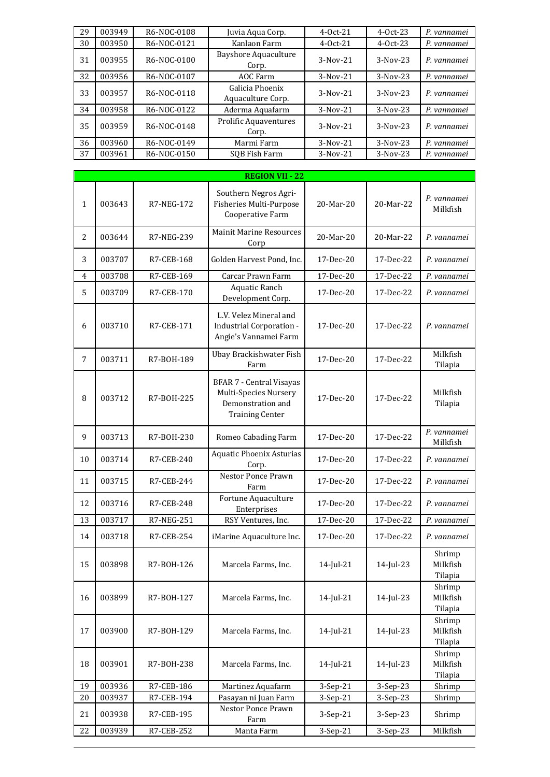| 29 | 003949 | R6-NOC-0108 | Juvia Aqua Corp.                      | $4-0ct-21$ | $4-0ct-23$ | P. vannamei |
|----|--------|-------------|---------------------------------------|------------|------------|-------------|
| 30 | 003950 | R6-NOC-0121 | Kanlaon Farm                          | $4-0ct-21$ | $4-0ct-23$ | P. vannamei |
| 31 | 003955 | R6-NOC-0100 | <b>Bayshore Aquaculture</b><br>Corp.  | $3-Nov-21$ | $3-Nov-23$ | P. vannamei |
| 32 | 003956 | R6-NOC-0107 | AOC Farm                              | 3-Nov-21   | $3-Nov-23$ | P. vannamei |
| 33 | 003957 | R6-NOC-0118 | Galicia Phoenix<br>Aquaculture Corp.  | $3-Nov-21$ | $3-Nov-23$ | P. vannamei |
| 34 | 003958 | R6-NOC-0122 | Aderma Aquafarm                       | $3-Nov-21$ | $3-Nov-23$ | P. vannamei |
| 35 | 003959 | R6-NOC-0148 | <b>Prolific Aquaventures</b><br>Corp. | $3-Nov-21$ | $3-Nov-23$ | P. vannamei |
| 36 | 003960 | R6-NOC-0149 | Marmi Farm                            | 3-Nov-21   | $3-Nov-23$ | P. vannamei |
| 37 | 003961 | R6-NOC-0150 | SOB Fish Farm                         | $3-Nov-21$ | $3-Nov-23$ | P. vannamei |

|              |        |            | <b>REGION VII - 22</b>                                                                                  |              |           |                               |
|--------------|--------|------------|---------------------------------------------------------------------------------------------------------|--------------|-----------|-------------------------------|
| $\mathbf{1}$ | 003643 | R7-NEG-172 | Southern Negros Agri-<br>Fisheries Multi-Purpose<br>Cooperative Farm                                    | 20-Mar-20    | 20-Mar-22 | P. vannamei<br>Milkfish       |
| 2            | 003644 | R7-NEG-239 | <b>Mainit Marine Resources</b><br>Corp                                                                  | 20-Mar-20    | 20-Mar-22 | P. vannamei                   |
| 3            | 003707 | R7-CEB-168 | Golden Harvest Pond, Inc.                                                                               | 17-Dec-20    | 17-Dec-22 | P. vannamei                   |
| 4            | 003708 | R7-CEB-169 | Carcar Prawn Farm                                                                                       | 17-Dec-20    | 17-Dec-22 | P. vannamei                   |
| 5            | 003709 | R7-CEB-170 | <b>Aquatic Ranch</b><br>Development Corp.                                                               | 17-Dec-20    | 17-Dec-22 | P. vannamei                   |
| 6            | 003710 | R7-CEB-171 | L.V. Velez Mineral and<br>Industrial Corporation -<br>Angie's Vannamei Farm                             | 17-Dec-20    | 17-Dec-22 | P. vannamei                   |
| 7            | 003711 | R7-B0H-189 | Ubay Brackishwater Fish<br>Farm                                                                         | 17-Dec-20    | 17-Dec-22 | Milkfish<br>Tilapia           |
| 8            | 003712 | R7-B0H-225 | <b>BFAR 7 - Central Visayas</b><br>Multi-Species Nursery<br>Demonstration and<br><b>Training Center</b> | 17-Dec-20    | 17-Dec-22 | Milkfish<br>Tilapia           |
| 9            | 003713 | R7-B0H-230 | Romeo Cabading Farm                                                                                     | 17-Dec-20    | 17-Dec-22 | P. vannamei<br>Milkfish       |
| 10           | 003714 | R7-CEB-240 | Aquatic Phoenix Asturias<br>Corp.                                                                       | 17-Dec-20    | 17-Dec-22 | P. vannamei                   |
| 11           | 003715 | R7-CEB-244 | Nestor Ponce Prawn<br>Farm                                                                              | 17-Dec-20    | 17-Dec-22 | P. vannamei                   |
| 12           | 003716 | R7-CEB-248 | Fortune Aquaculture<br>Enterprises                                                                      | 17-Dec-20    | 17-Dec-22 | P. vannamei                   |
| 13           | 003717 | R7-NEG-251 | RSY Ventures, Inc.                                                                                      | 17-Dec-20    | 17-Dec-22 | P. vannamei                   |
| 14           | 003718 | R7-CEB-254 | iMarine Aquaculture Inc.                                                                                | 17-Dec-20    | 17-Dec-22 | P. vannamei                   |
| 15           | 003898 | R7-B0H-126 | Marcela Farms, Inc.                                                                                     | $14$ -Jul-21 | 14-Jul-23 | Shrimp<br>Milkfish<br>Tilapia |
| 16           | 003899 | R7-B0H-127 | Marcela Farms, Inc.                                                                                     | $14$ -Jul-21 | 14-Jul-23 | Shrimp<br>Milkfish<br>Tilapia |
| 17           | 003900 | R7-B0H-129 | Marcela Farms, Inc.                                                                                     | 14-Jul-21    | 14-Jul-23 | Shrimp<br>Milkfish<br>Tilapia |
| 18           | 003901 | R7-B0H-238 | Marcela Farms, Inc.                                                                                     | 14-Jul-21    | 14-Jul-23 | Shrimp<br>Milkfish<br>Tilapia |
| 19           | 003936 | R7-CEB-186 | Martinez Aquafarm                                                                                       | 3-Sep-21     | 3-Sep-23  | Shrimp                        |
| 20           | 003937 | R7-CEB-194 | Pasayan ni Juan Farm                                                                                    | 3-Sep-21     | 3-Sep-23  | Shrimp                        |
| 21           | 003938 | R7-CEB-195 | Nestor Ponce Prawn<br>Farm                                                                              | 3-Sep-21     | 3-Sep-23  | Shrimp                        |
| 22           | 003939 | R7-CEB-252 | Manta Farm                                                                                              | 3-Sep-21     | 3-Sep-23  | Milkfish                      |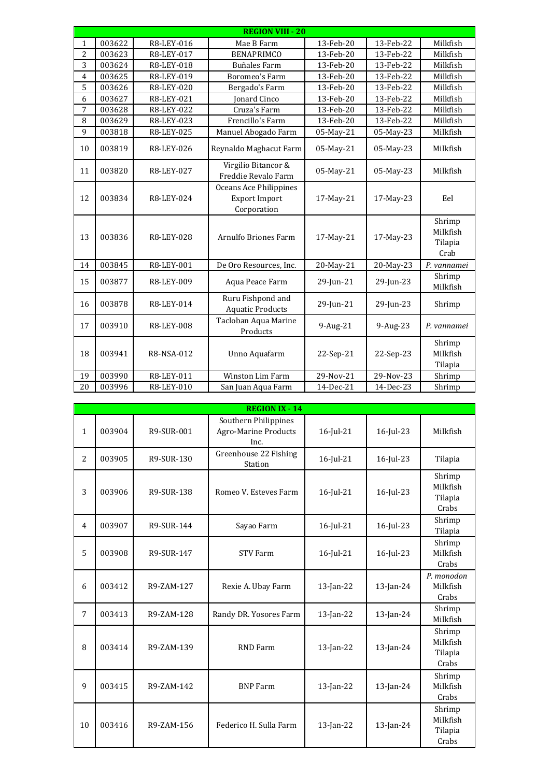|                |        |            | <b>REGION VIII - 20</b>                                       |              |           |                                       |
|----------------|--------|------------|---------------------------------------------------------------|--------------|-----------|---------------------------------------|
| $\mathbf{1}$   | 003622 | R8-LEY-016 | Mae B Farm                                                    | 13-Feb-20    | 13-Feb-22 | Milkfish                              |
| 2              | 003623 | R8-LEY-017 | <b>BENAPRIMCO</b>                                             | 13-Feb-20    | 13-Feb-22 | Milkfish                              |
| 3              | 003624 | R8-LEY-018 | <b>Buñales Farm</b>                                           | 13-Feb-20    | 13-Feb-22 | Milkfish                              |
| $\overline{4}$ | 003625 | R8-LEY-019 | Boromeo's Farm                                                | 13-Feb-20    | 13-Feb-22 | Milkfish                              |
| 5              | 003626 | R8-LEY-020 | Bergado's Farm                                                | 13-Feb-20    | 13-Feb-22 | Milkfish                              |
| 6              | 003627 | R8-LEY-021 | <b>Ionard Cinco</b>                                           | 13-Feb-20    | 13-Feb-22 | Milkfish                              |
| 7              | 003628 | R8-LEY-022 | Cruza's Farm                                                  | 13-Feb-20    | 13-Feb-22 | Milkfish                              |
| 8              | 003629 | R8-LEY-023 | Frencillo's Farm                                              | 13-Feb-20    | 13-Feb-22 | Milkfish                              |
| 9              | 003818 | R8-LEY-025 | Manuel Abogado Farm                                           | 05-May-21    | 05-May-23 | Milkfish                              |
| 10             | 003819 | R8-LEY-026 | Reynaldo Maghacut Farm                                        | 05-May-21    | 05-May-23 | Milkfish                              |
| 11             | 003820 | R8-LEY-027 | Virgilio Bitancor &<br>Freddie Revalo Farm                    | 05-May-21    | 05-May-23 | Milkfish                              |
| 12             | 003834 | R8-LEY-024 | Oceans Ace Philippines<br><b>Export Import</b><br>Corporation | 17-May-21    | 17-May-23 | Eel                                   |
| 13             | 003836 | R8-LEY-028 | Arnulfo Briones Farm                                          | 17-May-21    | 17-May-23 | Shrimp<br>Milkfish<br>Tilapia<br>Crab |
| 14             | 003845 | R8-LEY-001 | De Oro Resources, Inc.                                        | 20-May-21    | 20-May-23 | P. vannamei                           |
| 15             | 003877 | R8-LEY-009 | Aqua Peace Farm                                               | 29-Jun-21    | 29-Jun-23 | Shrimp<br>Milkfish                    |
| 16             | 003878 | R8-LEY-014 | Ruru Fishpond and<br><b>Aquatic Products</b>                  | $29$ -Jun-21 | 29-Jun-23 | Shrimp                                |
| 17             | 003910 | R8-LEY-008 | Tacloban Aqua Marine<br>Products                              | 9-Aug-21     | 9-Aug-23  | P. vannamei                           |
| 18             | 003941 | R8-NSA-012 | Unno Aquafarm                                                 | 22-Sep-21    | 22-Sep-23 | Shrimp<br>Milkfish<br>Tilapia         |
| 19             | 003990 | R8-LEY-011 | Winston Lim Farm                                              | 29-Nov-21    | 29-Nov-23 | Shrimp                                |
| 20             | 003996 | R8-LEY-010 | San Juan Aqua Farm                                            | 14-Dec-21    | 14-Dec-23 | Shrimp                                |

|                | <b>REGION IX - 14</b> |            |                                                             |              |              |                                        |  |  |
|----------------|-----------------------|------------|-------------------------------------------------------------|--------------|--------------|----------------------------------------|--|--|
| $\mathbf{1}$   | 003904                | R9-SUR-001 | Southern Philippines<br><b>Agro-Marine Products</b><br>Inc. | $16$ -Jul-21 | $16$ -Jul-23 | Milkfish                               |  |  |
| $\overline{2}$ | 003905                | R9-SUR-130 | Greenhouse 22 Fishing<br>Station                            | 16-Jul-21    | 16-Jul-23    | Tilapia                                |  |  |
| 3              | 003906                | R9-SUR-138 | Romeo V. Esteves Farm                                       | 16-Jul-21    | 16-Jul-23    | Shrimp<br>Milkfish<br>Tilapia<br>Crabs |  |  |
| 4              | 003907                | R9-SUR-144 | Sayao Farm                                                  | 16-Jul-21    | 16-Jul-23    | Shrimp<br>Tilapia                      |  |  |
| 5              | 003908                | R9-SUR-147 | <b>STV Farm</b>                                             | 16-Jul-21    | 16-Jul-23    | Shrimp<br>Milkfish<br>Crabs            |  |  |
| 6              | 003412                | R9-ZAM-127 | Rexie A. Ubay Farm                                          | $13$ -Jan-22 | $13$ -Jan-24 | P. monodon<br>Milkfish<br>Crabs        |  |  |
| 7              | 003413                | R9-ZAM-128 | Randy DR. Yosores Farm                                      | 13-Jan-22    | $13$ -Jan-24 | Shrimp<br>Milkfish                     |  |  |
| 8              | 003414                | R9-ZAM-139 | <b>RND</b> Farm                                             | $13$ -Jan-22 | $13$ -Jan-24 | Shrimp<br>Milkfish<br>Tilapia<br>Crabs |  |  |
| 9              | 003415                | R9-ZAM-142 | <b>BNP Farm</b>                                             | $13$ -Jan-22 | $13$ -Jan-24 | Shrimp<br>Milkfish<br>Crabs            |  |  |
| 10             | 003416                | R9-ZAM-156 | Federico H. Sulla Farm                                      | $13$ -Jan-22 | $13$ -Jan-24 | Shrimp<br>Milkfish<br>Tilapia<br>Crabs |  |  |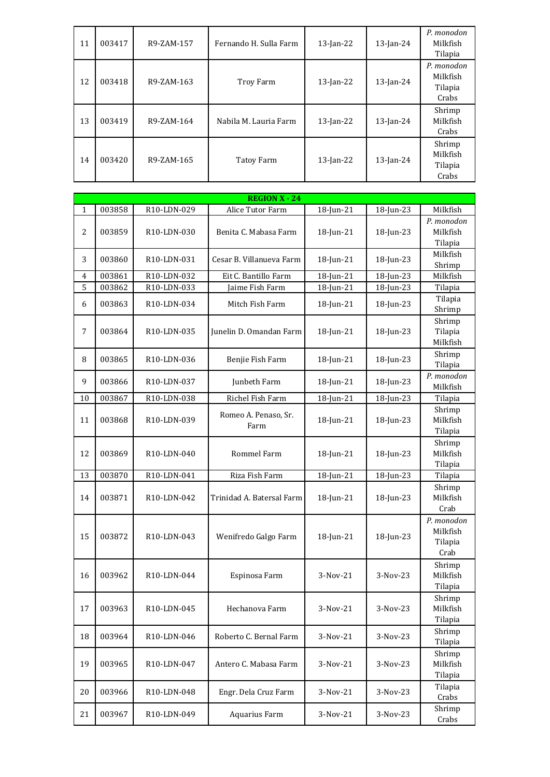| 11 | 003417 | R9-ZAM-157 | Fernando H. Sulla Farm | $13$ -Jan-22 | $13$ -Jan-24 | P. monodon<br>Milkfish<br>Tilapia          |
|----|--------|------------|------------------------|--------------|--------------|--------------------------------------------|
| 12 | 003418 | R9-ZAM-163 | Troy Farm              | $13$ -Jan-22 | $13$ -Jan-24 | P. monodon<br>Milkfish<br>Tilapia<br>Crabs |
| 13 | 003419 | R9-ZAM-164 | Nabila M. Lauria Farm  | $13$ -Jan-22 | $13$ -Jan-24 | Shrimp<br>Milkfish<br>Crabs                |
| 14 | 003420 | R9-ZAM-165 | Tatoy Farm             | $13$ -Jan-22 | $13$ -Jan-24 | Shrimp<br>Milkfish<br>Tilapia<br>Crabs     |

|                | <b>REGION X - 24</b> |                          |                              |              |              |                                           |  |  |
|----------------|----------------------|--------------------------|------------------------------|--------------|--------------|-------------------------------------------|--|--|
| $\mathbf{1}$   | 003858               | R10-LDN-029              | Alice Tutor Farm             | 18-Jun-21    | 18-Jun-23    | Milkfish                                  |  |  |
| 2              | 003859               | R <sub>10</sub> -LDN-030 | Benita C. Mabasa Farm        | $18$ -Jun-21 | $18$ -Jun-23 | P. monodon<br>Milkfish<br>Tilapia         |  |  |
| 3              | 003860               | R10-LDN-031              | Cesar B. Villanueva Farm     | $18$ -Jun-21 | 18-Jun-23    | Milkfish<br>Shrimp                        |  |  |
| $\overline{4}$ | 003861               | R10-LDN-032              | Eit C. Bantillo Farm         | 18-Jun-21    | 18-Jun-23    | Milkfish                                  |  |  |
| 5              | 003862               | R10-LDN-033              | Jaime Fish Farm              | 18-Jun-21    | 18-Jun-23    | Tilapia                                   |  |  |
| 6              | 003863               | R10-LDN-034              | Mitch Fish Farm              | $18$ -Jun-21 | 18-Jun-23    | Tilapia<br>Shrimp                         |  |  |
| 7              | 003864               | R <sub>10</sub> -LDN-035 | Junelin D. Omandan Farm      | $18$ -Jun-21 | $18$ -Jun-23 | Shrimp<br>Tilapia<br>Milkfish             |  |  |
| 8              | 003865               | R10-LDN-036              | Benjie Fish Farm             | $18$ -Jun-21 | 18-Jun-23    | Shrimp<br>Tilapia                         |  |  |
| 9              | 003866               | R10-LDN-037              | Junbeth Farm                 | 18-Jun-21    | 18-Jun-23    | P. monodon<br>Milkfish                    |  |  |
| 10             | 003867               | R10-LDN-038              | Richel Fish Farm             | 18-Jun-21    | 18-Jun-23    | Tilapia                                   |  |  |
| 11             | 003868               | R10-LDN-039              | Romeo A. Penaso, Sr.<br>Farm | $18$ -Jun-21 | $18$ -Jun-23 | Shrimp<br>Milkfish<br>Tilapia             |  |  |
| 12             | 003869               | R10-LDN-040              | Rommel Farm                  | 18-Jun-21    | 18-Jun-23    | Shrimp<br>Milkfish<br>Tilapia             |  |  |
| 13             | 003870               | R10-LDN-041              | Riza Fish Farm               | 18-Jun-21    | 18-Jun-23    | Tilapia                                   |  |  |
| 14             | 003871               | R10-LDN-042              | Trinidad A. Batersal Farm    | 18-Jun-21    | $18$ -Jun-23 | Shrimp<br>Milkfish<br>Crab                |  |  |
| 15             | 003872               | R10-LDN-043              | Wenifredo Galgo Farm         | 18-Jun-21    | 18-Jun-23    | P. monodon<br>Milkfish<br>Tilapia<br>Crab |  |  |
| 16             | 003962               | R10-LDN-044              | Espinosa Farm                | 3-Nov-21     | 3-Nov-23     | Shrimp<br>Milkfish<br>Tilapia             |  |  |
| 17             | 003963               | R10-LDN-045              | Hechanova Farm               | 3-Nov-21     | 3-Nov-23     | Shrimp<br>Milkfish<br>Tilapia             |  |  |
| 18             | 003964               | R10-LDN-046              | Roberto C. Bernal Farm       | 3-Nov-21     | 3-Nov-23     | Shrimp<br>Tilapia                         |  |  |
| 19             | 003965               | R10-LDN-047              | Antero C. Mabasa Farm        | 3-Nov-21     | 3-Nov-23     | Shrimp<br>Milkfish<br>Tilapia             |  |  |
| 20             | 003966               | R10-LDN-048              | Engr. Dela Cruz Farm         | 3-Nov-21     | 3-Nov-23     | Tilapia<br>Crabs                          |  |  |
| 21             | 003967               | R10-LDN-049              | Aquarius Farm                | 3-Nov-21     | 3-Nov-23     | Shrimp<br>Crabs                           |  |  |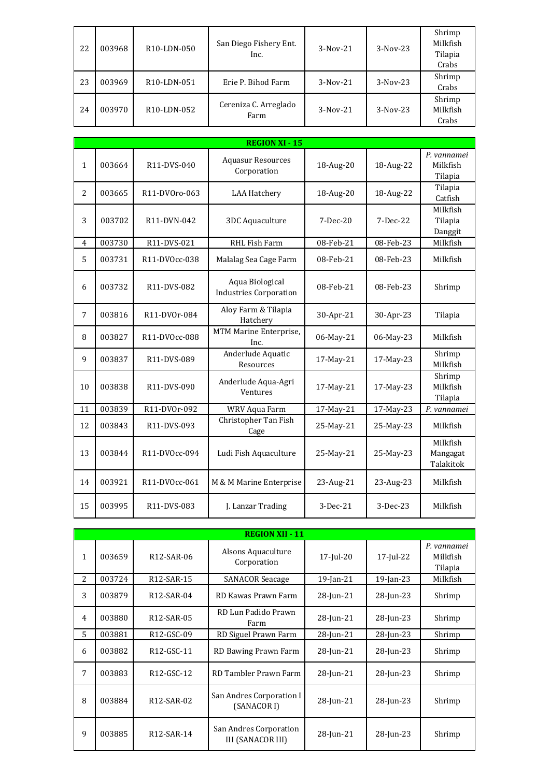| 22 | 003968 | R10-LDN-050              | San Diego Fishery Ent.<br>Inc. | $3-Nov-21$ | $3-Nov-23$ | Shrimp<br>Milkfish<br>Tilapia<br>Crabs |
|----|--------|--------------------------|--------------------------------|------------|------------|----------------------------------------|
| 23 | 003969 | R10-LDN-051              | Erie P. Bihod Farm             | $3-Nov-21$ | $3-Nov-23$ | Shrimp<br>Crabs                        |
| 24 | 003970 | R <sub>10</sub> -LDN-052 | Cereniza C. Arreglado<br>Farm  | $3-Nov-21$ | $3-Nov-23$ | Shrimp<br>Milkfish<br>Crabs            |

|                | <b>REGION XI - 15</b> |                          |                                                  |            |            |                                    |  |  |  |
|----------------|-----------------------|--------------------------|--------------------------------------------------|------------|------------|------------------------------------|--|--|--|
| 1              | 003664                | R11-DVS-040              | <b>Aquasur Resources</b><br>Corporation          | 18-Aug-20  | 18-Aug-22  | P. vannamei<br>Milkfish<br>Tilapia |  |  |  |
| $\overline{2}$ | 003665                | R11-DV0ro-063            | <b>LAA Hatchery</b>                              | 18-Aug-20  | 18-Aug-22  | Tilapia<br>Catfish                 |  |  |  |
| 3              | 003702                | R11-DVN-042              | 3DC Aquaculture                                  | $7-Dec-20$ | $7-Dec-22$ | Milkfish<br>Tilapia<br>Danggit     |  |  |  |
| $\overline{4}$ | 003730                | R11-DVS-021              | RHL Fish Farm                                    | 08-Feb-21  | 08-Feb-23  | Milkfish                           |  |  |  |
| 5              | 003731                | R11-DV0cc-038            | Malalag Sea Cage Farm                            | 08-Feb-21  | 08-Feb-23  | Milkfish                           |  |  |  |
| 6              | 003732                | R <sub>11</sub> -DVS-082 | Aqua Biological<br><b>Industries Corporation</b> | 08-Feb-21  | 08-Feb-23  | Shrimp                             |  |  |  |
| 7              | 003816                | R11-DV0r-084             | Aloy Farm & Tilapia<br>Hatchery                  | 30-Apr-21  | 30-Apr-23  | Tilapia                            |  |  |  |
| 8              | 003827                | R11-DV0cc-088            | MTM Marine Enterprise,<br>Inc.                   | 06-May-21  | 06-May-23  | Milkfish                           |  |  |  |
| 9              | 003837                | R11-DVS-089              | Anderlude Aquatic<br>Resources                   | 17-May-21  | 17-May-23  | Shrimp<br>Milkfish                 |  |  |  |
| 10             | 003838                | R11-DVS-090              | Anderlude Aqua-Agri<br>Ventures                  | 17-May-21  | 17-May-23  | Shrimp<br>Milkfish<br>Tilapia      |  |  |  |
| 11             | 003839                | R11-DV0r-092             | WRV Aqua Farm                                    | 17-May-21  | 17-May-23  | P. vannamei                        |  |  |  |
| 12             | 003843                | R11-DVS-093              | Christopher Tan Fish<br>Cage                     | 25-May-21  | 25-May-23  | Milkfish                           |  |  |  |
| 13             | 003844                | R11-DV0cc-094            | Ludi Fish Aquaculture                            | 25-May-21  | 25-May-23  | Milkfish<br>Mangagat<br>Talakitok  |  |  |  |
| 14             | 003921                | R11-DV0cc-061            | M & M Marine Enterprise                          | 23-Aug-21  | 23-Aug-23  | Milkfish                           |  |  |  |
| 15             | 003995                | R11-DVS-083              | J. Lanzar Trading                                | 3-Dec-21   | 3-Dec-23   | Milkfish                           |  |  |  |

|                | <b>REGION XII - 11</b> |                         |                                                    |              |              |                                    |  |  |  |
|----------------|------------------------|-------------------------|----------------------------------------------------|--------------|--------------|------------------------------------|--|--|--|
| 1              | 003659                 | R <sub>12</sub> -SAR-06 | Alsons Aquaculture<br>Corporation                  | $17$ -Jul-20 | $17$ -Jul-22 | P. vannamei<br>Milkfish<br>Tilapia |  |  |  |
| $\overline{2}$ | 003724                 | R12-SAR-15              | <b>SANACOR Seacage</b>                             | 19-Jan-21    | $19$ -Jan-23 | Milkfish                           |  |  |  |
| 3              | 003879                 | R <sub>12</sub> -SAR-04 | RD Kawas Prawn Farm                                | 28-Jun-21    | 28-Jun-23    | Shrimp                             |  |  |  |
| 4              | 003880                 | R <sub>12</sub> -SAR-05 | RD Lun Padido Prawn<br>Farm                        | 28-Jun-21    | 28-Jun-23    | Shrimp                             |  |  |  |
| 5.             | 003881                 | R12-GSC-09              | RD Siguel Prawn Farm                               | 28-Jun-21    | 28-Jun-23    | Shrimp                             |  |  |  |
| 6              | 003882                 | R12-GSC-11              | RD Bawing Prawn Farm                               | 28-Jun-21    | 28-Jun-23    | Shrimp                             |  |  |  |
| 7              | 003883                 | R <sub>12</sub> -GSC-12 | RD Tambler Prawn Farm                              | 28-Jun-21    | 28-Jun-23    | Shrimp                             |  |  |  |
| 8              | 003884                 | R <sub>12</sub> -SAR-02 | San Andres Corporation I<br>(SANACOR I)            | 28-Jun-21    | 28-Jun-23    | Shrimp                             |  |  |  |
| 9              | 003885                 | R12-SAR-14              | San Andres Corporation<br><b>III (SANACOR III)</b> | 28-Jun-21    | $28$ -Jun-23 | Shrimp                             |  |  |  |